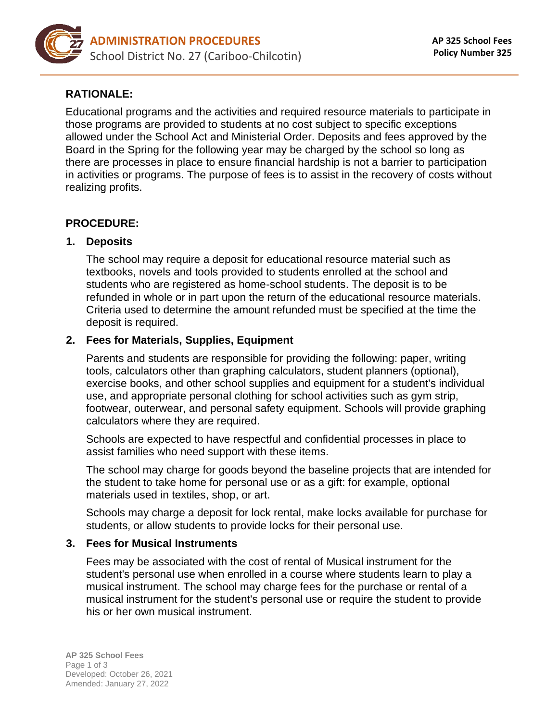

# **RATIONALE:**

Educational programs and the activities and required resource materials to participate in those programs are provided to students at no cost subject to specific exceptions allowed under the School Act and Ministerial Order. Deposits and fees approved by the Board in the Spring for the following year may be charged by the school so long as there are processes in place to ensure financial hardship is not a barrier to participation in activities or programs. The purpose of fees is to assist in the recovery of costs without realizing profits.

# **PROCEDURE:**

## **1. Deposits**

The school may require a deposit for educational resource material such as textbooks, novels and tools provided to students enrolled at the school and students who are registered as home-school students. The deposit is to be refunded in whole or in part upon the return of the educational resource materials. Criteria used to determine the amount refunded must be specified at the time the deposit is required.

## **2. Fees for Materials, Supplies, Equipment**

Parents and students are responsible for providing the following: paper, writing tools, calculators other than graphing calculators, student planners (optional), exercise books, and other school supplies and equipment for a student's individual use, and appropriate personal clothing for school activities such as gym strip, footwear, outerwear, and personal safety equipment. Schools will provide graphing calculators where they are required.

Schools are expected to have respectful and confidential processes in place to assist families who need support with these items.

The school may charge for goods beyond the baseline projects that are intended for the student to take home for personal use or as a gift: for example, optional materials used in textiles, shop, or art.

Schools may charge a deposit for lock rental, make locks available for purchase for students, or allow students to provide locks for their personal use.

#### **3. Fees for Musical Instruments**

Fees may be associated with the cost of rental of Musical instrument for the student's personal use when enrolled in a course where students learn to play a musical instrument. The school may charge fees for the purchase or rental of a musical instrument for the student's personal use or require the student to provide his or her own musical instrument.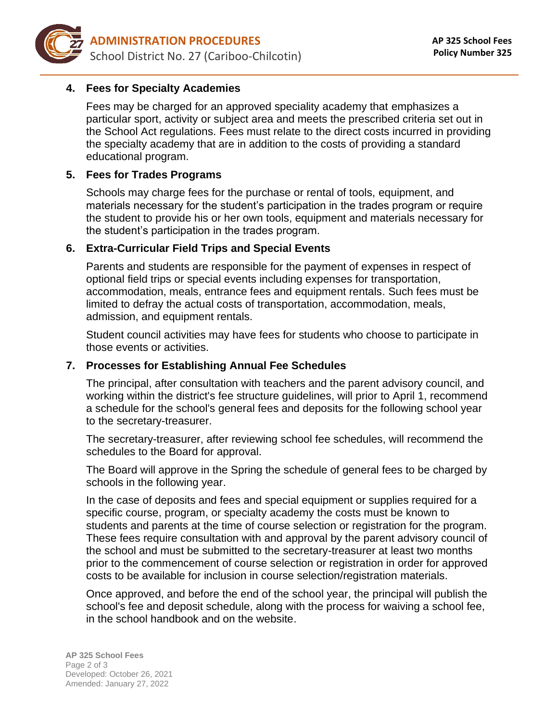

# **4. Fees for Specialty Academies**

Fees may be charged for an approved speciality academy that emphasizes a particular sport, activity or subject area and meets the prescribed criteria set out in the School Act regulations. Fees must relate to the direct costs incurred in providing the specialty academy that are in addition to the costs of providing a standard educational program.

## **5. Fees for Trades Programs**

Schools may charge fees for the purchase or rental of tools, equipment, and materials necessary for the student's participation in the trades program or require the student to provide his or her own tools, equipment and materials necessary for the student's participation in the trades program.

#### **6. Extra-Curricular Field Trips and Special Events**

Parents and students are responsible for the payment of expenses in respect of optional field trips or special events including expenses for transportation, accommodation, meals, entrance fees and equipment rentals. Such fees must be limited to defray the actual costs of transportation, accommodation, meals, admission, and equipment rentals.

Student council activities may have fees for students who choose to participate in those events or activities.

### **7. Processes for Establishing Annual Fee Schedules**

The principal, after consultation with teachers and the parent advisory council, and working within the district's fee structure guidelines, will prior to April 1, recommend a schedule for the school's general fees and deposits for the following school year to the secretary-treasurer.

The secretary-treasurer, after reviewing school fee schedules, will recommend the schedules to the Board for approval.

The Board will approve in the Spring the schedule of general fees to be charged by schools in the following year.

In the case of deposits and fees and special equipment or supplies required for a specific course, program, or specialty academy the costs must be known to students and parents at the time of course selection or registration for the program. These fees require consultation with and approval by the parent advisory council of the school and must be submitted to the secretary-treasurer at least two months prior to the commencement of course selection or registration in order for approved costs to be available for inclusion in course selection/registration materials.

Once approved, and before the end of the school year, the principal will publish the school's fee and deposit schedule, along with the process for waiving a school fee, in the school handbook and on the website.